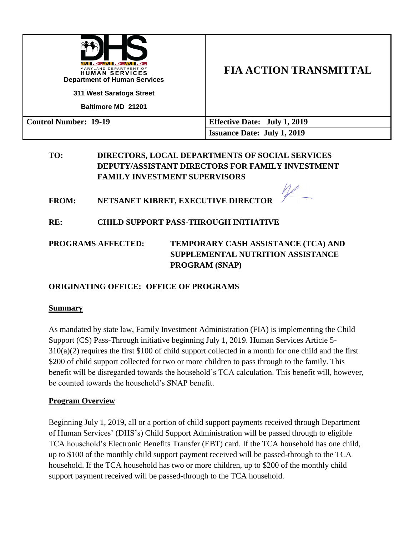| WI ALIMA KENYER<br>MARYLAND DEPARTMENT OF<br><b>HUMAN SERVICES</b><br><b>Department of Human Services</b><br>311 West Saratoga Street<br><b>Baltimore MD 21201</b> | <b>FIA ACTION TRANSMITTAL</b>       |
|--------------------------------------------------------------------------------------------------------------------------------------------------------------------|-------------------------------------|
| <b>Control Number: 19-19</b>                                                                                                                                       | <b>Effective Date: July 1, 2019</b> |
|                                                                                                                                                                    | <b>Issuance Date: July 1, 2019</b>  |

# **TO: DIRECTORS, LOCAL DEPARTMENTS OF SOCIAL SERVICES DEPUTY/ASSISTANT DIRECTORS FOR FAMILY INVESTMENT FAMILY INVESTMENT SUPERVISORS**

**FROM: NETSANET KIBRET, EXECUTIVE DIRECTOR** 

**RE: CHILD SUPPORT PASS-THROUGH INITIATIVE** 

**PROGRAMS AFFECTED: TEMPORARY CASH ASSISTANCE (TCA) AND SUPPLEMENTAL NUTRITION ASSISTANCE PROGRAM (SNAP)**

# **ORIGINATING OFFICE: OFFICE OF PROGRAMS**

## **Summary**

As mandated by state law, Family Investment Administration (FIA) is implementing the Child Support (CS) Pass-Through initiative beginning July 1, 2019. Human Services Article 5- 310(a)(2) requires the first \$100 of child support collected in a month for one child and the first \$200 of child support collected for two or more children to pass through to the family. This benefit will be disregarded towards the household's TCA calculation. This benefit will, however, be counted towards the household's SNAP benefit.

## **Program Overview**

Beginning July 1, 2019, all or a portion of child support payments received through Department of Human Services' (DHS's) Child Support Administration will be passed through to eligible TCA household's Electronic Benefits Transfer (EBT) card. If the TCA household has one child, up to \$100 of the monthly child support payment received will be passed-through to the TCA household. If the TCA household has two or more children, up to \$200 of the monthly child support payment received will be passed-through to the TCA household.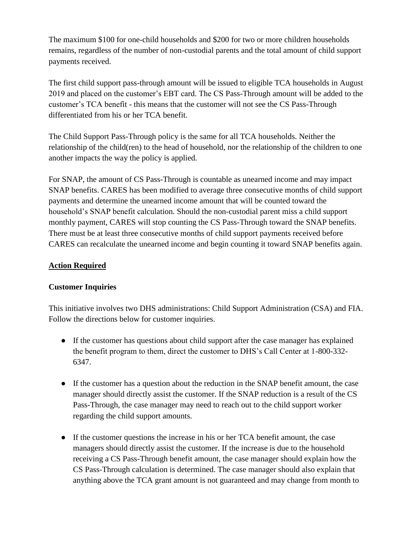The maximum \$100 for one-child households and \$200 for two or more children households remains, regardless of the number of non-custodial parents and the total amount of child support payments received.

The first child support pass-through amount will be issued to eligible TCA households in August 2019 and placed on the customer's EBT card. The CS Pass-Through amount will be added to the customer's TCA benefit - this means that the customer will not see the CS Pass-Through differentiated from his or her TCA benefit.

The Child Support Pass-Through policy is the same for all TCA households. Neither the relationship of the child(ren) to the head of household, nor the relationship of the children to one another impacts the way the policy is applied.

For SNAP, the amount of CS Pass-Through is countable as unearned income and may impact SNAP benefits. CARES has been modified to average three consecutive months of child support payments and determine the unearned income amount that will be counted toward the household's SNAP benefit calculation. Should the non-custodial parent miss a child support monthly payment, CARES will stop counting the CS Pass-Through toward the SNAP benefits. There must be at least three consecutive months of child support payments received before CARES can recalculate the unearned income and begin counting it toward SNAP benefits again.

# **Action Required**

## **Customer Inquiries**

This initiative involves two DHS administrations: Child Support Administration (CSA) and FIA. Follow the directions below for customer inquiries.

- If the customer has questions about child support after the case manager has explained the benefit program to them, direct the customer to DHS's Call Center at 1-800-332- 6347.
- If the customer has a question about the reduction in the SNAP benefit amount, the case manager should directly assist the customer. If the SNAP reduction is a result of the CS Pass-Through, the case manager may need to reach out to the child support worker regarding the child support amounts.
- If the customer questions the increase in his or her TCA benefit amount, the case managers should directly assist the customer. If the increase is due to the household receiving a CS Pass-Through benefit amount, the case manager should explain how the CS Pass-Through calculation is determined. The case manager should also explain that anything above the TCA grant amount is not guaranteed and may change from month to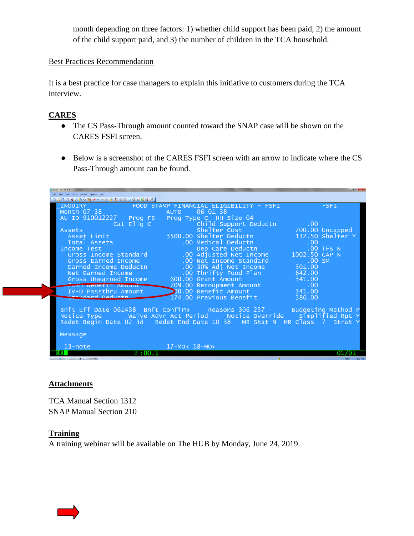month depending on three factors: 1) whether child support has been paid, 2) the amount of the child support paid, and 3) the number of children in the TCA household.

#### Best Practices Recommendation

It is a best practice for case managers to explain this initiative to customers during the TCA interview.

# **CARES**

- The CS Pass-Through amount counted toward the SNAP case will be shown on the CARES FSFI screen.
- Below is a screenshot of the CARES FSFI screen with an arrow to indicate where the CS Pass-Through amount can be found.



## **Attachments**

TCA Manual Section 1312 SNAP Manual Section 210

## **Training**

A training webinar will be available on The HUB by Monday, June 24, 2019.